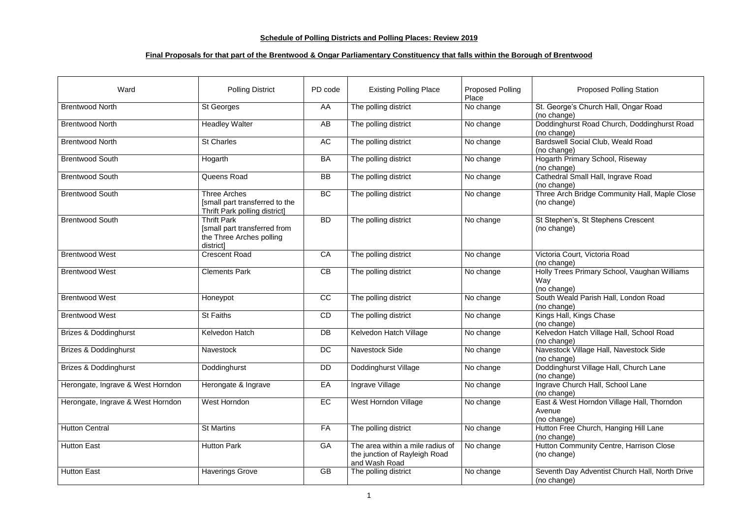## **Schedule of Polling Districts and Polling Places: Review 2019**

## **Final Proposals for that part of the Brentwood & Ongar Parliamentary Constituency that falls within the Borough of Brentwood**

| Ward                              | <b>Polling District</b>                                                                     | PD code   | <b>Existing Polling Place</b>                                                      | <b>Proposed Polling</b><br>Place | <b>Proposed Polling Station</b>                                     |
|-----------------------------------|---------------------------------------------------------------------------------------------|-----------|------------------------------------------------------------------------------------|----------------------------------|---------------------------------------------------------------------|
| <b>Brentwood North</b>            | <b>St Georges</b>                                                                           | AA        | The polling district                                                               | No change                        | St. George's Church Hall, Ongar Road<br>(no change)                 |
| <b>Brentwood North</b>            | <b>Headley Walter</b>                                                                       | AB        | The polling district                                                               | No change                        | Doddinghurst Road Church, Doddinghurst Road<br>(no change)          |
| <b>Brentwood North</b>            | <b>St Charles</b>                                                                           | AC        | The polling district                                                               | No change                        | <b>Bardswell Social Club, Weald Road</b><br>(no change)             |
| <b>Brentwood South</b>            | Hogarth                                                                                     | <b>BA</b> | The polling district                                                               | No change                        | <b>Hogarth Primary School, Riseway</b><br>(no change)               |
| <b>Brentwood South</b>            | Queens Road                                                                                 | <b>BB</b> | The polling district                                                               | No change                        | Cathedral Small Hall, Ingrave Road<br>(no change)                   |
| <b>Brentwood South</b>            | Three Arches<br>[small part transferred to the<br><b>Thrift Park polling district]</b>      | BC        | The polling district                                                               | No change                        | Three Arch Bridge Community Hall, Maple Close<br>(no change)        |
| <b>Brentwood South</b>            | <b>Thrift Park</b><br>[small part transferred from<br>the Three Arches polling<br>district] | <b>BD</b> | The polling district                                                               | No change                        | St Stephen's, St Stephens Crescent<br>(no change)                   |
| <b>Brentwood West</b>             | <b>Crescent Road</b>                                                                        | CA        | The polling district                                                               | No change                        | Victoria Court, Victoria Road<br>(no change)                        |
| <b>Brentwood West</b>             | <b>Clements Park</b>                                                                        | CB        | The polling district                                                               | No change                        | Holly Trees Primary School, Vaughan Williams<br>Way<br>(no change)  |
| <b>Brentwood West</b>             | Honeypot                                                                                    | CC        | The polling district                                                               | No change                        | South Weald Parish Hall, London Road<br>(no change)                 |
| <b>Brentwood West</b>             | <b>St Faiths</b>                                                                            | CD        | The polling district                                                               | No change                        | Kings Hall, Kings Chase<br>(no change)                              |
| <b>Brizes &amp; Doddinghurst</b>  | Kelvedon Hatch                                                                              | DB        | Kelvedon Hatch Village                                                             | No change                        | Kelvedon Hatch Village Hall, School Road<br>(no change)             |
| <b>Brizes &amp; Doddinghurst</b>  | <b>Navestock</b>                                                                            | DC        | <b>Navestock Side</b>                                                              | No change                        | Navestock Village Hall, Navestock Side<br>(no change)               |
| <b>Brizes &amp; Doddinghurst</b>  | Doddinghurst                                                                                | <b>DD</b> | Doddinghurst Village                                                               | No change                        | Doddinghurst Village Hall, Church Lane<br>(no change)               |
| Herongate, Ingrave & West Horndon | Herongate & Ingrave                                                                         | EA        | Ingrave Village                                                                    | No change                        | Ingrave Church Hall, School Lane<br>(no change)                     |
| Herongate, Ingrave & West Horndon | West Horndon                                                                                | EC        | West Horndon Village                                                               | No change                        | East & West Horndon Village Hall, Thorndon<br>Avenue<br>(no change) |
| <b>Hutton Central</b>             | <b>St Martins</b>                                                                           | FA        | The polling district                                                               | No change                        | Hutton Free Church, Hanging Hill Lane<br>(no change)                |
| <b>Hutton East</b>                | <b>Hutton Park</b>                                                                          | GA        | The area within a mile radius of<br>the junction of Rayleigh Road<br>and Wash Road | No change                        | Hutton Community Centre, Harrison Close<br>(no change)              |
| <b>Hutton East</b>                | <b>Haverings Grove</b>                                                                      | <b>GB</b> | The polling district                                                               | No change                        | Seventh Day Adventist Church Hall, North Drive<br>(no change)       |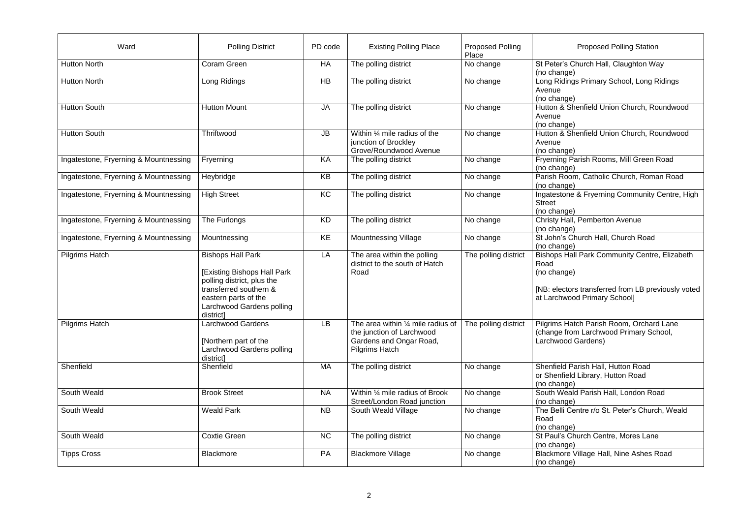| Ward                                  | <b>Polling District</b>                                                                                                                                                           | PD code   | <b>Existing Polling Place</b>                                                                                                 | <b>Proposed Polling</b><br>Place | <b>Proposed Polling Station</b>                                                                                                                                   |
|---------------------------------------|-----------------------------------------------------------------------------------------------------------------------------------------------------------------------------------|-----------|-------------------------------------------------------------------------------------------------------------------------------|----------------------------------|-------------------------------------------------------------------------------------------------------------------------------------------------------------------|
| <b>Hutton North</b>                   | Coram Green                                                                                                                                                                       | HA        | The polling district                                                                                                          | No change                        | St Peter's Church Hall, Claughton Way<br>(no change)                                                                                                              |
| <b>Hutton North</b>                   | Long Ridings                                                                                                                                                                      | HB        | The polling district                                                                                                          | No change                        | Long Ridings Primary School, Long Ridings<br>Avenue<br>(no change)                                                                                                |
| <b>Hutton South</b>                   | <b>Hutton Mount</b>                                                                                                                                                               | <b>JA</b> | The polling district                                                                                                          | No change                        | Hutton & Shenfield Union Church, Roundwood<br>Avenue<br>(no change)                                                                                               |
| <b>Hutton South</b>                   | Thriftwood                                                                                                                                                                        | JB        | Within $\frac{1}{4}$ mile radius of the<br>junction of Brockley<br>Grove/Roundwood Avenue                                     | No change                        | Hutton & Shenfield Union Church, Roundwood<br>Avenue<br>(no change)                                                                                               |
| Ingatestone, Fryerning & Mountnessing | Fryerning                                                                                                                                                                         | KA        | The polling district                                                                                                          | No change                        | Fryerning Parish Rooms, Mill Green Road<br>(no change)                                                                                                            |
| Ingatestone, Fryerning & Mountnessing | Heybridge                                                                                                                                                                         | KB        | The polling district                                                                                                          | No change                        | Parish Room, Catholic Church, Roman Road<br>(no change)                                                                                                           |
| Ingatestone, Fryerning & Mountnessing | <b>High Street</b>                                                                                                                                                                | KC        | The polling district                                                                                                          | No change                        | Ingatestone & Fryerning Community Centre, High<br><b>Street</b><br>(no change)                                                                                    |
| Ingatestone, Fryerning & Mountnessing | The Furlongs                                                                                                                                                                      | <b>KD</b> | The polling district                                                                                                          | No change                        | Christy Hall, Pemberton Avenue<br>(no change)                                                                                                                     |
| Ingatestone, Fryerning & Mountnessing | Mountnessing                                                                                                                                                                      | KE        | <b>Mountnessing Village</b>                                                                                                   | No change                        | St John's Church Hall, Church Road<br>(no change)                                                                                                                 |
| <b>Pilgrims Hatch</b>                 | <b>Bishops Hall Park</b><br>[Existing Bishops Hall Park<br>polling district, plus the<br>transferred southern &<br>eastern parts of the<br>Larchwood Gardens polling<br>district] | LA        | The area within the polling<br>district to the south of Hatch<br>Road                                                         | The polling district             | <b>Bishops Hall Park Community Centre, Elizabeth</b><br>Road<br>(no change)<br>[NB: electors transferred from LB previously voted<br>at Larchwood Primary School] |
| <b>Pilgrims Hatch</b>                 | <b>Larchwood Gardens</b><br>[Northern part of the<br>Larchwood Gardens polling<br>district]                                                                                       | <b>LB</b> | The area within $\frac{1}{4}$ mile radius of<br>the junction of Larchwood<br>Gardens and Ongar Road,<br><b>Pilgrims Hatch</b> | The polling district             | Pilgrims Hatch Parish Room, Orchard Lane<br>(change from Larchwood Primary School,<br>Larchwood Gardens)                                                          |
| Shenfield                             | Shenfield                                                                                                                                                                         | МA        | The polling district                                                                                                          | No change                        | Shenfield Parish Hall, Hutton Road<br>or Shenfield Library, Hutton Road<br>(no change)                                                                            |
| South Weald                           | <b>Brook Street</b>                                                                                                                                                               | <b>NA</b> | Within 1/4 mile radius of Brook<br>Street/London Road junction                                                                | No change                        | South Weald Parish Hall, London Road<br>(no change)                                                                                                               |
| South Weald                           | <b>Weald Park</b>                                                                                                                                                                 | <b>NB</b> | South Weald Village                                                                                                           | No change                        | The Belli Centre r/o St. Peter's Church, Weald<br>Road<br>(no change)                                                                                             |
| South Weald                           | <b>Coxtie Green</b>                                                                                                                                                               | <b>NC</b> | The polling district                                                                                                          | No change                        | St Paul's Church Centre, Mores Lane<br>(no change)                                                                                                                |
| <b>Tipps Cross</b>                    | <b>Blackmore</b>                                                                                                                                                                  | PA        | <b>Blackmore Village</b>                                                                                                      | No change                        | Blackmore Village Hall, Nine Ashes Road<br>(no change)                                                                                                            |